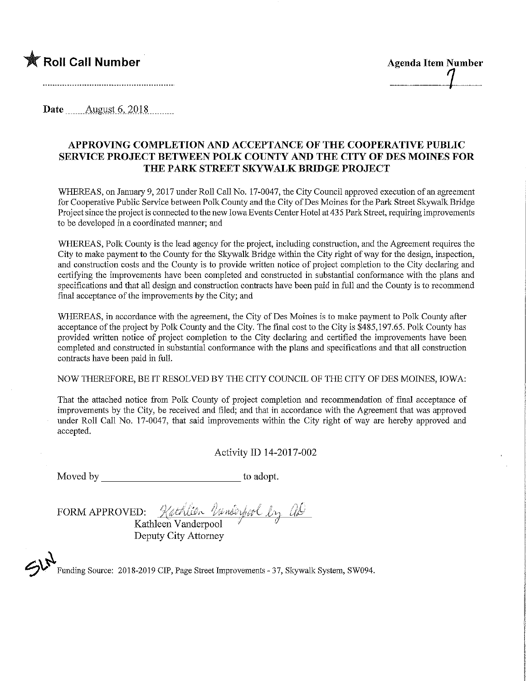

**Date** August 6, 2018

## APPROVING COMPLETION AND ACCEPTANCE OF THE COOPERATIVE PUBLIC SERVICE PROJECT BETWEEN POLK COUNTY AND THE CITY OF DES MOINES FOR THE PARK STREET SKYWALK BRIDGE PROJECT

WHEREAS, on January 9, 2017 under Roll Call No. 17-0047, the City Council approved execution of an agreement for Cooperative Public Service between Polk County and the City of Des Moines for the Park Street Skywalk Bridge Project since the project is connected to the new Iowa Events Center Hotel at 435 Park Street, requiring improvements to be developed in a coordinated manner; and

WHEREAS, Polk County is the lead agency for the project, including construction, and the Agreement requires the City to make payment to the County for the Skywalk Bridge within the City right of way for the design, inspection, and construction costs and the County is to provide written notice of project completion to the City declaring and certifying the improvements have been completed and constructed in substantial conformance with the plans and specifications and that all design and construction contracts have been paid in full and the County is to recommend final acceptance of the improvements by the City; and

WHEREAS, in accordance with the agreement, the City of Des Moines is to make payment to Polk County after acceptance of the project by Polk County and the City. The final cost to the City is \$485,197.65. Polk County has provided written notice of project completion to the City declaring and certified the improvements have been completed and constructed in. substantial conformance with the plans and specifications and that all construction contracts have been paid in full.

NOW THEREFORE, BE IT RESOLVED BY THE CITY COUNCIL OF THE CITY OF DES MOINES, IOWA:

That the attached notice from Polk County of project completion and recommendation of final acceptance of improvements by the City, be received and filed; and that in accordance with the Agreement that was approved under Roll Call No. 17-0047, that said improvements within the City right of way are hereby approved and accepted.

Activity ID 14-2017-002

Moved by to adopt.

FORM APPROVED: Kathlien Vanderfool by al

Kathleen Vanderpool  $\overline{\mathscr{P}}$ Deputy City Attorney

 $\mathcal{L}$ Funding Source: 2018-2019 CIP, Page Street Improvements - 37, Skywalk System, SW094.